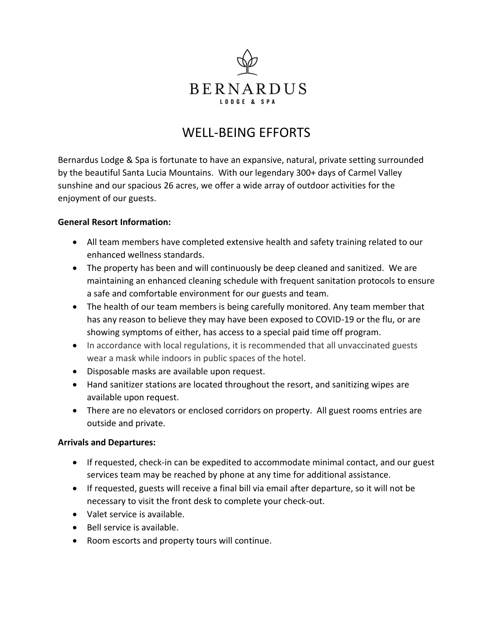

# WELL-BEING EFFORTS

Bernardus Lodge & Spa is fortunate to have an expansive, natural, private setting surrounded by the beautiful Santa Lucia Mountains. With our legendary 300+ days of Carmel Valley sunshine and our spacious 26 acres, we offer a wide array of outdoor activities for the enjoyment of our guests.

## **General Resort Information:**

- All team members have completed extensive health and safety training related to our enhanced wellness standards.
- The property has been and will continuously be deep cleaned and sanitized. We are maintaining an enhanced cleaning schedule with frequent sanitation protocols to ensure a safe and comfortable environment for our guests and team.
- The health of our team members is being carefully monitored. Any team member that has any reason to believe they may have been exposed to COVID-19 or the flu, or are showing symptoms of either, has access to a special paid time off program.
- In accordance with local regulations, it is recommended that all unvaccinated guests wear a mask while indoors in public spaces of the hotel.
- Disposable masks are available upon request.
- Hand sanitizer stations are located throughout the resort, and sanitizing wipes are available upon request.
- There are no elevators or enclosed corridors on property. All guest rooms entries are outside and private.

## **Arrivals and Departures:**

- If requested, check-in can be expedited to accommodate minimal contact, and our guest services team may be reached by phone at any time for additional assistance.
- If requested, guests will receive a final bill via email after departure, so it will not be necessary to visit the front desk to complete your check-out.
- Valet service is available.
- Bell service is available.
- Room escorts and property tours will continue.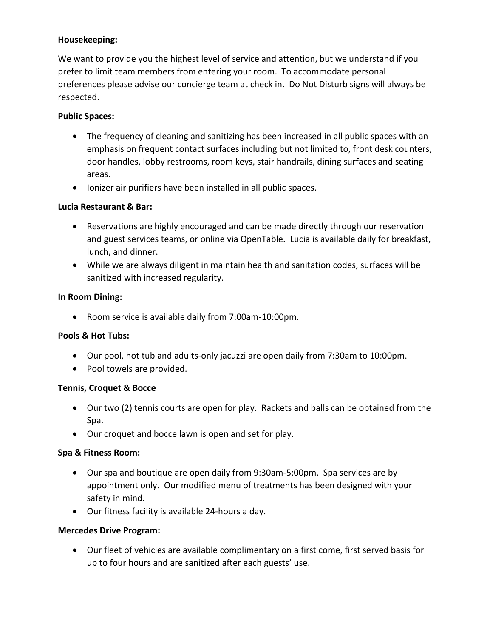# **Housekeeping:**

We want to provide you the highest level of service and attention, but we understand if you prefer to limit team members from entering your room. To accommodate personal preferences please advise our concierge team at check in. Do Not Disturb signs will always be respected.

## **Public Spaces:**

- The frequency of cleaning and sanitizing has been increased in all public spaces with an emphasis on frequent contact surfaces including but not limited to, front desk counters, door handles, lobby restrooms, room keys, stair handrails, dining surfaces and seating areas.
- Ionizer air purifiers have been installed in all public spaces.

# **Lucia Restaurant & Bar:**

- Reservations are highly encouraged and can be made directly through our reservation and guest services teams, or online via OpenTable. Lucia is available daily for breakfast, lunch, and dinner.
- While we are always diligent in maintain health and sanitation codes, surfaces will be sanitized with increased regularity.

# **In Room Dining:**

• Room service is available daily from 7:00am-10:00pm.

## **Pools & Hot Tubs:**

- Our pool, hot tub and adults-only jacuzzi are open daily from 7:30am to 10:00pm.
- Pool towels are provided.

## **Tennis, Croquet & Bocce**

- Our two (2) tennis courts are open for play. Rackets and balls can be obtained from the Spa.
- Our croquet and bocce lawn is open and set for play.

## **Spa & Fitness Room:**

- Our spa and boutique are open daily from 9:30am-5:00pm. Spa services are by appointment only. Our modified menu of treatments has been designed with your safety in mind.
- Our fitness facility is available 24-hours a day.

## **Mercedes Drive Program:**

• Our fleet of vehicles are available complimentary on a first come, first served basis for up to four hours and are sanitized after each guests' use.